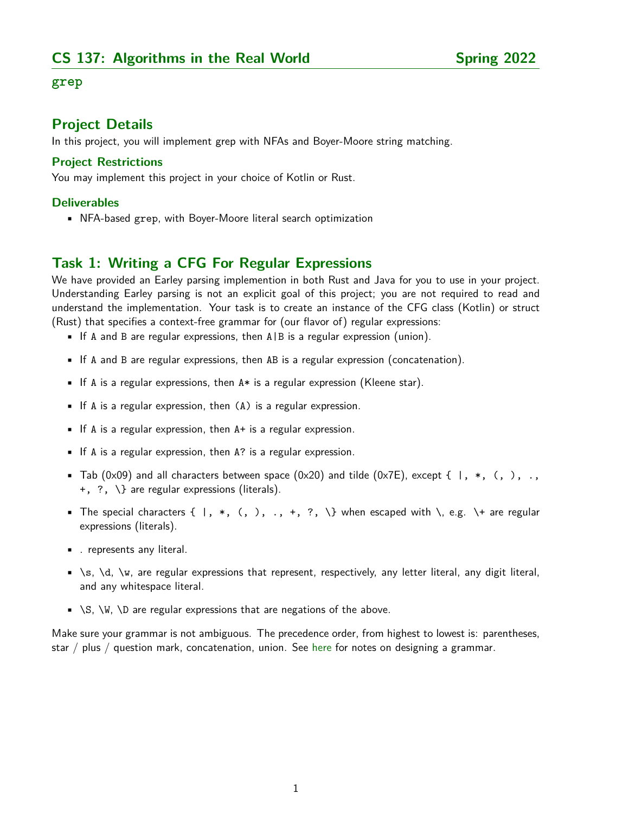#### **grep**

### **Project Details**

In this project, you will implement grep with NFAs and Boyer-Moore string matching.

#### **Project Restrictions**

You may implement this project in your choice of Kotlin or Rust.

#### **Deliverables**

• NFA-based grep, with Boyer-Moore literal search optimization

## **Task 1: Writing a CFG For Regular Expressions**

We have provided an Earley parsing implemention in both Rust and Java for you to use in your project. Understanding Earley parsing is not an explicit goal of this project; you are not required to read and understand the implementation. Your task is to create an instance of the CFG class (Kotlin) or struct (Rust) that specifies a context-free grammar for (our flavor of) regular expressions:

- If A and B are regular expressions, then  $A \mid B$  is a regular expression (union).
- If A and B are regular expressions, then AB is a regular expression (concatenation).
- **•** If A is a regular expressions, then  $A*$  is a regular expression (Kleene star).
- If A is a regular expression, then (A) is a regular expression.
- If A is a regular expression, then A+ is a regular expression.
- If A is a regular expression, then A? is a regular expression.
- Tab (0x09) and all characters between space (0x20) and tilde (0x7E), except  $\{ \ \ | \ , \ * \ , \ ( \ , \ ) \ , \ \ldots \}$ +, ?, \} are regular expressions (literals).
- The special characters  $\{ \, , * , ( , ), ..., + , ? , \}$  when escaped with  $\, \, , e.g. \, \}$  are regular expressions (literals).
- . represents any literal.
- \s, \d, \w, are regular expressions that represent, respectively, any letter literal, any digit literal, and any whitespace literal.
- $\blacksquare$  \S, \W, \D are regular expressions that are negations of the above.

Make sure your grammar is not ambiguous. The precedence order, from highest to lowest is: parentheses, star / plus / question mark, concatenation, union. See [here](http://math.pnw.edu/~rlkraft/cs31600-2012/chapter03/baby-language-two-operators.html) for notes on designing a grammar.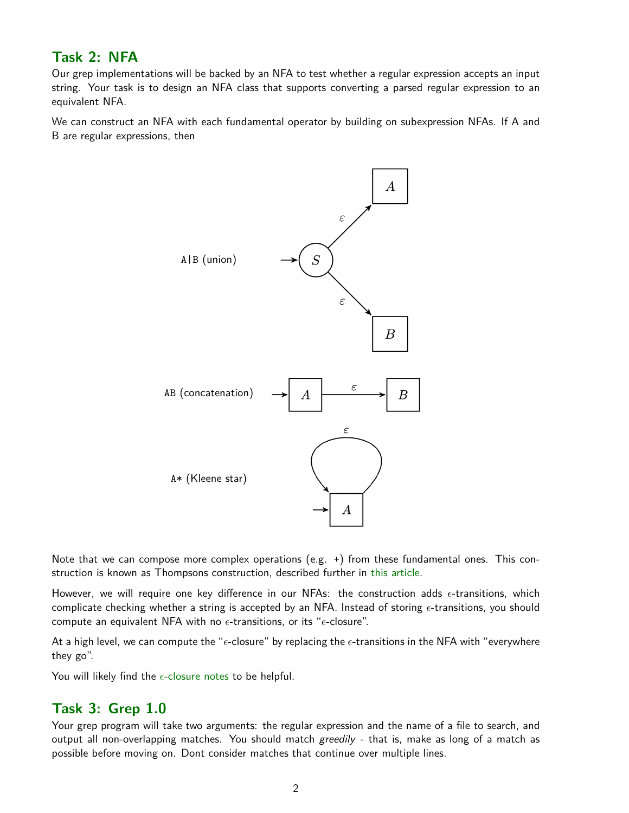## **Task 2: NFA**

Our grep implementations will be backed by an NFA to test whether a regular expression accepts an input string. Your task is to design an NFA class that supports converting a parsed regular expression to an equivalent NFA.

We can construct an NFA with each fundamental operator by building on subexpression NFAs. If A and B are regular expressions, then



Note that we can compose more complex operations (e.g. +) from these fundamental ones. This construction is known as Thompsons construction, described further in [this article.](https://swtch.com/~rsc/regexp/regexp1.html)

However, we will require one key difference in our NFAs: the construction adds  $\epsilon$ -transitions, which complicate checking whether a string is accepted by an NFA. Instead of storing  $\epsilon$ -transitions, you should compute an equivalent NFA with no  $\epsilon$ -transitions, or its " $\epsilon$ -closure".

At a high level, we can compute the " $\epsilon$ -closure" by replacing the  $\epsilon$ -transitions in the NFA with "everywhere they go".

You will likely find the  $\epsilon$ [-closure notes](https://algos.world/21sp/notes/epsilon-closure.pdf) to be helpful.

## **Task 3: Grep 1.0**

Your grep program will take two arguments: the regular expression and the name of a file to search, and output all non-overlapping matches. You should match greedily - that is, make as long of a match as possible before moving on. Dont consider matches that continue over multiple lines.